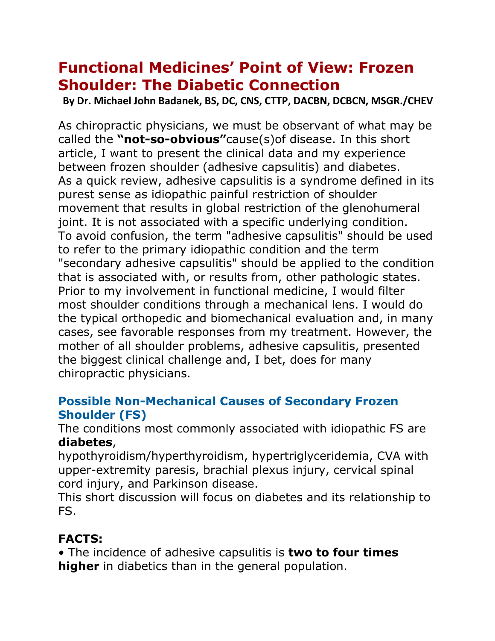# **Functional Medicines' Point of View: Frozen Shoulder: The Diabetic Connection**

**By Dr. Michael John Badanek, BS, DC, CNS, CTTP, DACBN, DCBCN, MSGR./CHEV**

As chiropractic physicians, we must be observant of what may be called the **"not-so-obvious"**cause(s)of disease. In this short article, I want to present the clinical data and my experience between frozen shoulder (adhesive capsulitis) and diabetes. As a quick review, adhesive capsulitis is a syndrome defined in its purest sense as idiopathic painful restriction of shoulder movement that results in global restriction of the glenohumeral joint. It is not associated with a specific underlying condition. To avoid confusion, the term "adhesive capsulitis" should be used to refer to the primary idiopathic condition and the term "secondary adhesive capsulitis" should be applied to the condition that is associated with, or results from, other pathologic states. Prior to my involvement in functional medicine, I would filter most shoulder conditions through a mechanical lens. I would do the typical orthopedic and biomechanical evaluation and, in many cases, see favorable responses from my treatment. However, the mother of all shoulder problems, adhesive capsulitis, presented the biggest clinical challenge and, I bet, does for many chiropractic physicians.

### **Possible Non-Mechanical Causes of Secondary Frozen Shoulder (FS)**

The conditions most commonly associated with idiopathic FS are **diabetes**,

hypothyroidism/hyperthyroidism, hypertriglyceridemia, CVA with upper-extremity paresis, brachial plexus injury, cervical spinal cord injury, and Parkinson disease.

This short discussion will focus on diabetes and its relationship to FS.

## **FACTS:**

• The incidence of adhesive capsulitis is **two to four times higher** in diabetics than in the general population.